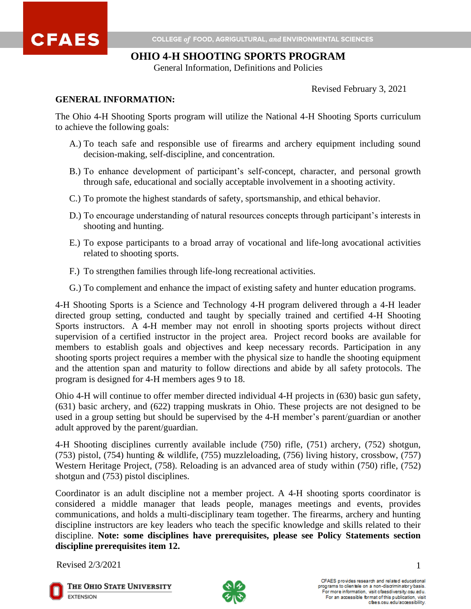

# **OHIO 4-H SHOOTING SPORTS PROGRAM**

General Information, Definitions and Policies

Revised February 3, 2021

#### **GENERAL INFORMATION:**

The Ohio 4-H Shooting Sports program will utilize the National 4-H Shooting Sports curriculum to achieve the following goals:

- A.) To teach safe and responsible use of firearms and archery equipment including sound decision-making, self-discipline, and concentration.
- B.) To enhance development of participant's self-concept, character, and personal growth through safe, educational and socially acceptable involvement in a shooting activity.
- C.) To promote the highest standards of safety, sportsmanship, and ethical behavior.
- D.) To encourage understanding of natural resources concepts through participant's interests in shooting and hunting.
- E.) To expose participants to a broad array of vocational and life-long avocational activities related to shooting sports.
- F.) To strengthen families through life-long recreational activities.
- G.) To complement and enhance the impact of existing safety and hunter education programs.

4-H Shooting Sports is a Science and Technology 4-H program delivered through a 4-H leader directed group setting, conducted and taught by specially trained and certified 4-H Shooting Sports instructors. A 4-H member may not enroll in shooting sports projects without direct supervision of a certified instructor in the project area. Project record books are available for members to establish goals and objectives and keep necessary records. Participation in any shooting sports project requires a member with the physical size to handle the shooting equipment and the attention span and maturity to follow directions and abide by all safety protocols. The program is designed for 4-H members ages 9 to 18.

Ohio 4-H will continue to offer member directed individual 4-H projects in (630) basic gun safety, (631) basic archery, and (622) trapping muskrats in Ohio. These projects are not designed to be used in a group setting but should be supervised by the 4-H member's parent/guardian or another adult approved by the parent/guardian.

4-H Shooting disciplines currently available include (750) rifle, (751) archery, (752) shotgun, (753) pistol, (754) hunting & wildlife, (755) muzzleloading, (756) living history, crossbow, (757) Western Heritage Project, (758). Reloading is an advanced area of study within (750) rifle, (752) shotgun and (753) pistol disciplines.

Coordinator is an adult discipline not a member project. A 4-H shooting sports coordinator is considered a middle manager that leads people, manages meetings and events, provides communications, and holds a multi-disciplinary team together. The firearms, archery and hunting discipline instructors are key leaders who teach the specific knowledge and skills related to their discipline. **Note: some disciplines have prerequisites, please see Policy Statements section discipline prerequisites item 12.**

Revised  $2/3/2021$  1



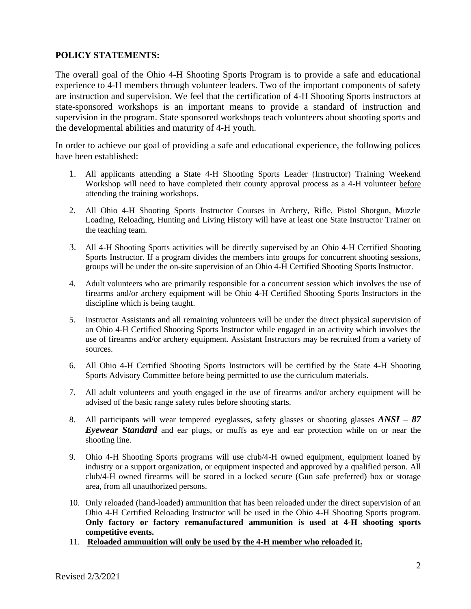## **POLICY STATEMENTS:**

The overall goal of the Ohio 4-H Shooting Sports Program is to provide a safe and educational experience to 4-H members through volunteer leaders. Two of the important components of safety are instruction and supervision. We feel that the certification of 4-H Shooting Sports instructors at state-sponsored workshops is an important means to provide a standard of instruction and supervision in the program. State sponsored workshops teach volunteers about shooting sports and the developmental abilities and maturity of 4-H youth.

In order to achieve our goal of providing a safe and educational experience, the following polices have been established:

- 1. All applicants attending a State 4-H Shooting Sports Leader (Instructor) Training Weekend Workshop will need to have completed their county approval process as a 4-H volunteer before attending the training workshops.
- 2. All Ohio 4-H Shooting Sports Instructor Courses in Archery, Rifle, Pistol Shotgun, Muzzle Loading, Reloading, Hunting and Living History will have at least one State Instructor Trainer on the teaching team.
- 3. All 4-H Shooting Sports activities will be directly supervised by an Ohio 4-H Certified Shooting Sports Instructor. If a program divides the members into groups for concurrent shooting sessions, groups will be under the on-site supervision of an Ohio 4-H Certified Shooting Sports Instructor.
- 4. Adult volunteers who are primarily responsible for a concurrent session which involves the use of firearms and/or archery equipment will be Ohio 4-H Certified Shooting Sports Instructors in the discipline which is being taught.
- 5. Instructor Assistants and all remaining volunteers will be under the direct physical supervision of an Ohio 4-H Certified Shooting Sports Instructor while engaged in an activity which involves the use of firearms and/or archery equipment. Assistant Instructors may be recruited from a variety of sources.
- 6. All Ohio 4-H Certified Shooting Sports Instructors will be certified by the State 4-H Shooting Sports Advisory Committee before being permitted to use the curriculum materials.
- 7. All adult volunteers and youth engaged in the use of firearms and/or archery equipment will be advised of the basic range safety rules before shooting starts.
- 8. All participants will wear tempered eyeglasses, safety glasses or shooting glasses *ANSI – 87 Eyewear Standard* and ear plugs, or muffs as eye and ear protection while on or near the shooting line.
- 9. Ohio 4-H Shooting Sports programs will use club/4-H owned equipment, equipment loaned by industry or a support organization, or equipment inspected and approved by a qualified person. All club/4-H owned firearms will be stored in a locked secure (Gun safe preferred) box or storage area, from all unauthorized persons.
- 10. Only reloaded (hand-loaded) ammunition that has been reloaded under the direct supervision of an Ohio 4-H Certified Reloading Instructor will be used in the Ohio 4-H Shooting Sports program. **Only factory or factory remanufactured ammunition is used at 4-H shooting sports competitive events.**
- 11. **Reloaded ammunition will only be used by the 4-H member who reloaded it.**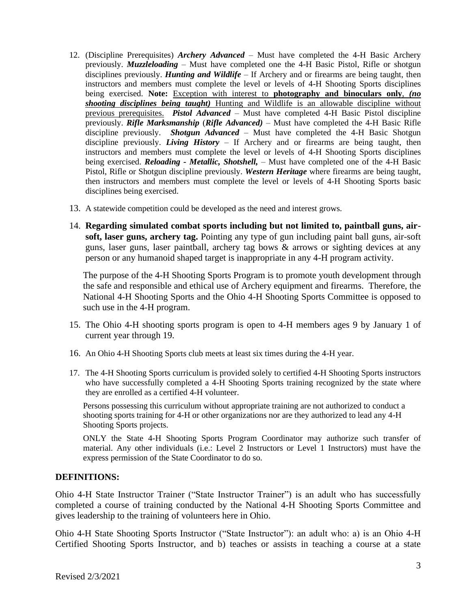- 12. (Discipline Prerequisites) *Archery Advanced* Must have completed the 4-H Basic Archery previously. *Muzzleloading* – Must have completed one the 4-H Basic Pistol, Rifle or shotgun disciplines previously. *Hunting and Wildlife* – If Archery and or firearms are being taught, then instructors and members must complete the level or levels of 4-H Shooting Sports disciplines being exercised. **Note:** Exception with interest to **photography and binoculars only**, *(no shooting disciplines being taught)* Hunting and Wildlife is an allowable discipline without previous prerequisites. *Pistol Advanced* – Must have completed 4-H Basic Pistol discipline previously. *Rifle Marksmanship* (*Rifle Advanced)* – Must have completed the 4-H Basic Rifle discipline previously. *Shotgun Advanced* – Must have completed the 4-H Basic Shotgun discipline previously. *Living History* – If Archery and or firearms are being taught, then instructors and members must complete the level or levels of 4-H Shooting Sports disciplines being exercised. *Reloading - Metallic, Shotshell,* – Must have completed one of the 4-H Basic Pistol, Rifle or Shotgun discipline previously. *Western Heritage* where firearms are being taught, then instructors and members must complete the level or levels of 4-H Shooting Sports basic disciplines being exercised.
- 13. A statewide competition could be developed as the need and interest grows.
- 14. **Regarding simulated combat sports including but not limited to, paintball guns, airsoft, laser guns, archery tag.** Pointing any type of gun including paint ball guns, air-soft guns, laser guns, laser paintball, archery tag bows & arrows or sighting devices at any person or any humanoid shaped target is inappropriate in any 4-H program activity.

The purpose of the 4-H Shooting Sports Program is to promote youth development through the safe and responsible and ethical use of Archery equipment and firearms. Therefore, the National 4-H Shooting Sports and the Ohio 4-H Shooting Sports Committee is opposed to such use in the 4-H program.

- 15. The Ohio 4-H shooting sports program is open to 4-H members ages 9 by January 1 of current year through 19.
- 16. An Ohio 4-H Shooting Sports club meets at least six times during the 4-H year.
- 17. The 4-H Shooting Sports curriculum is provided solely to certified 4-H Shooting Sports instructors who have successfully completed a 4-H Shooting Sports training recognized by the state where they are enrolled as a certified 4-H volunteer.

Persons possessing this curriculum without appropriate training are not authorized to conduct a shooting sports training for 4-H or other organizations nor are they authorized to lead any 4-H Shooting Sports projects.

ONLY the State 4-H Shooting Sports Program Coordinator may authorize such transfer of material. Any other individuals (i.e.: Level 2 Instructors or Level 1 Instructors) must have the express permission of the State Coordinator to do so.

### **DEFINITIONS:**

Ohio 4-H State Instructor Trainer ("State Instructor Trainer") is an adult who has successfully completed a course of training conducted by the National 4-H Shooting Sports Committee and gives leadership to the training of volunteers here in Ohio.

Ohio 4-H State Shooting Sports Instructor ("State Instructor"): an adult who: a) is an Ohio 4-H Certified Shooting Sports Instructor, and b) teaches or assists in teaching a course at a state